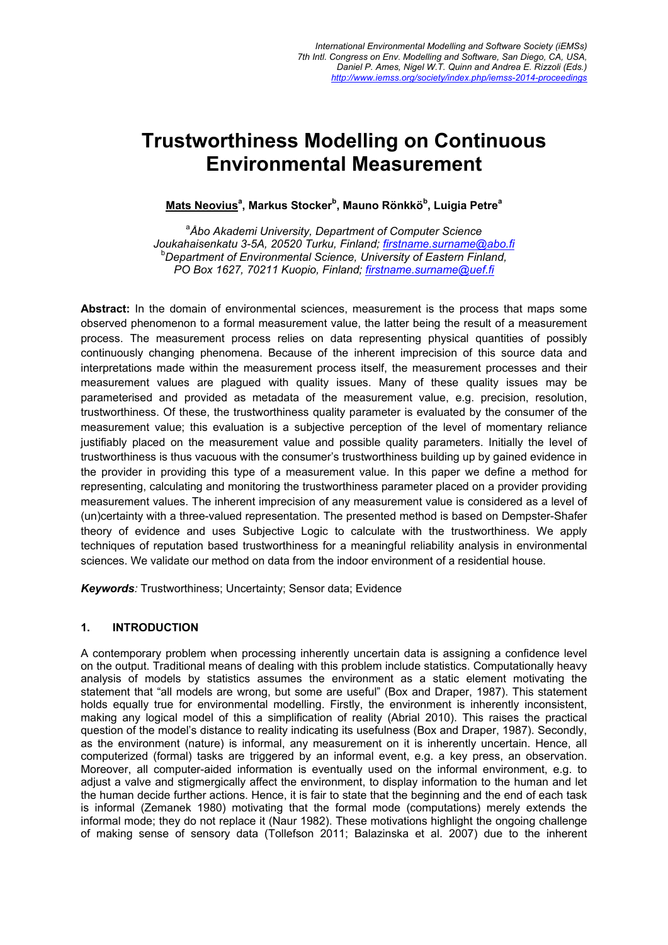# Trustworthiness Modelling on Continuous Environmental Measurement

<u>Mats Neovius</u>ª, Markus Stocker<sup>b</sup>, Mauno Rönkkö<sup>b</sup>, Luigia Petre<sup>a</sup>

a *Åbo Akademi University, Department of Computer Science Joukahaisenkatu 3-5A, 20520 Turku, Finland; firstname.surname@abo.fi* <sup>b</sup> *Department of Environmental Science, University of Eastern Finland, PO Box 1627, 70211 Kuopio, Finland; firstname.surname@uef.fi*

Abstract: In the domain of environmental sciences, measurement is the process that maps some observed phenomenon to a formal measurement value, the latter being the result of a measurement process. The measurement process relies on data representing physical quantities of possibly continuously changing phenomena. Because of the inherent imprecision of this source data and interpretations made within the measurement process itself, the measurement processes and their measurement values are plagued with quality issues. Many of these quality issues may be parameterised and provided as metadata of the measurement value, e.g. precision, resolution, trustworthiness. Of these, the trustworthiness quality parameter is evaluated by the consumer of the measurement value; this evaluation is a subjective perception of the level of momentary reliance justifiably placed on the measurement value and possible quality parameters. Initially the level of trustworthiness is thus vacuous with the consumer's trustworthiness building up by gained evidence in the provider in providing this type of a measurement value. In this paper we define a method for representing, calculating and monitoring the trustworthiness parameter placed on a provider providing measurement values. The inherent imprecision of any measurement value is considered as a level of (un)certainty with a three-valued representation. The presented method is based on Dempster-Shafer theory of evidence and uses Subjective Logic to calculate with the trustworthiness. We apply techniques of reputation based trustworthiness for a meaningful reliability analysis in environmental sciences. We validate our method on data from the indoor environment of a residential house.

*Keywords:* Trustworthiness; Uncertainty; Sensor data; Evidence

### 1. INTRODUCTION

A contemporary problem when processing inherently uncertain data is assigning a confidence level on the output. Traditional means of dealing with this problem include statistics. Computationally heavy analysis of models by statistics assumes the environment as a static element motivating the statement that "all models are wrong, but some are useful" (Box and Draper, 1987). This statement holds equally true for environmental modelling. Firstly, the environment is inherently inconsistent, making any logical model of this a simplification of reality (Abrial 2010). This raises the practical question of the model's distance to reality indicating its usefulness (Box and Draper, 1987). Secondly, as the environment (nature) is informal, any measurement on it is inherently uncertain. Hence, all computerized (formal) tasks are triggered by an informal event, e.g. a key press, an observation. Moreover, all computer-aided information is eventually used on the informal environment, e.g. to adjust a valve and stigmergically affect the environment, to display information to the human and let the human decide further actions. Hence, it is fair to state that the beginning and the end of each task is informal (Zemanek 1980) motivating that the formal mode (computations) merely extends the informal mode; they do not replace it (Naur 1982). These motivations highlight the ongoing challenge of making sense of sensory data (Tollefson 2011; Balazinska et al. 2007) due to the inherent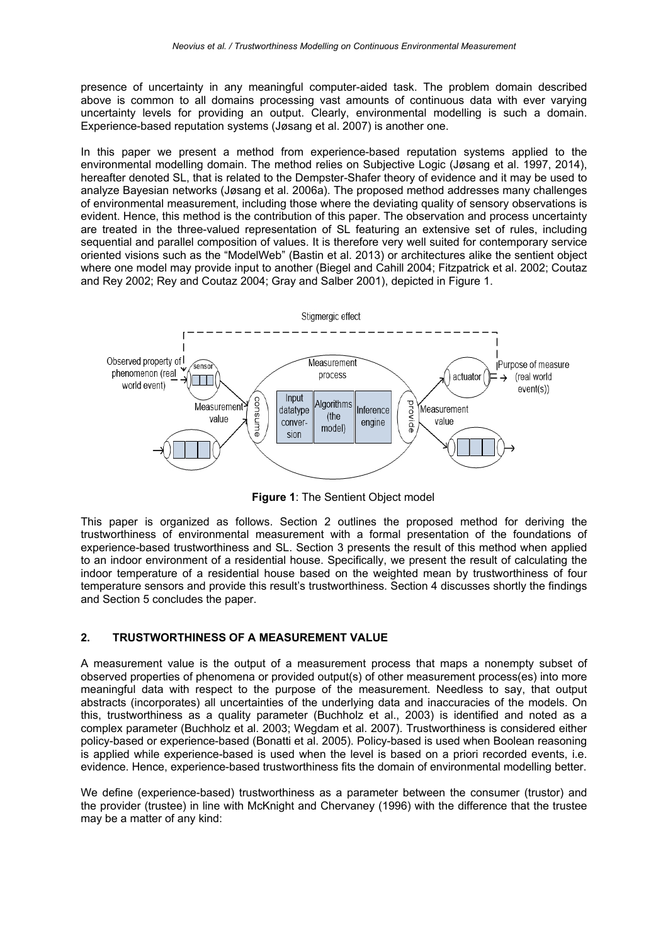presence of uncertainty in any meaningful computer-aided task. The problem domain described above is common to all domains processing vast amounts of continuous data with ever varying uncertainty levels for providing an output. Clearly, environmental modelling is such a domain. Experience-based reputation systems (Jøsang et al. 2007) is another one.

In this paper we present a method from experience-based reputation systems applied to the environmental modelling domain. The method relies on Subjective Logic (Jøsang et al. 1997, 2014), hereafter denoted SL, that is related to the Dempster-Shafer theory of evidence and it may be used to analyze Bayesian networks (Jøsang et al. 2006a). The proposed method addresses many challenges of environmental measurement, including those where the deviating quality of sensory observations is evident. Hence, this method is the contribution of this paper. The observation and process uncertainty are treated in the three-valued representation of SL featuring an extensive set of rules, including sequential and parallel composition of values. It is therefore very well suited for contemporary service oriented visions such as the "ModelWeb" (Bastin et al. 2013) or architectures alike the sentient object where one model may provide input to another (Biegel and Cahill 2004; Fitzpatrick et al. 2002; Coutaz and Rey 2002; Rey and Coutaz 2004; Gray and Salber 2001), depicted in Figure 1.



Figure 1: The Sentient Object model

This paper is organized as follows. Section 2 outlines the proposed method for deriving the trustworthiness of environmental measurement with a formal presentation of the foundations of experience-based trustworthiness and SL. Section 3 presents the result of this method when applied to an indoor environment of a residential house. Specifically, we present the result of calculating the indoor temperature of a residential house based on the weighted mean by trustworthiness of four temperature sensors and provide this result's trustworthiness. Section 4 discusses shortly the findings and Section 5 concludes the paper.

### 2. TRUSTWORTHINESS OF A MEASUREMENT VALUE

A measurement value is the output of a measurement process that maps a nonempty subset of observed properties of phenomena or provided output(s) of other measurement process(es) into more meaningful data with respect to the purpose of the measurement. Needless to say, that output abstracts (incorporates) all uncertainties of the underlying data and inaccuracies of the models. On this, trustworthiness as a quality parameter (Buchholz et al., 2003) is identified and noted as a complex parameter (Buchholz et al. 2003; Wegdam et al. 2007). Trustworthiness is considered either policy-based or experience-based (Bonatti et al. 2005). Policy-based is used when Boolean reasoning is applied while experience-based is used when the level is based on a priori recorded events, i.e. evidence. Hence, experience-based trustworthiness fits the domain of environmental modelling better.

We define (experience-based) trustworthiness as a parameter between the consumer (trustor) and the provider (trustee) in line with McKnight and Chervaney (1996) with the difference that the trustee may be a matter of any kind: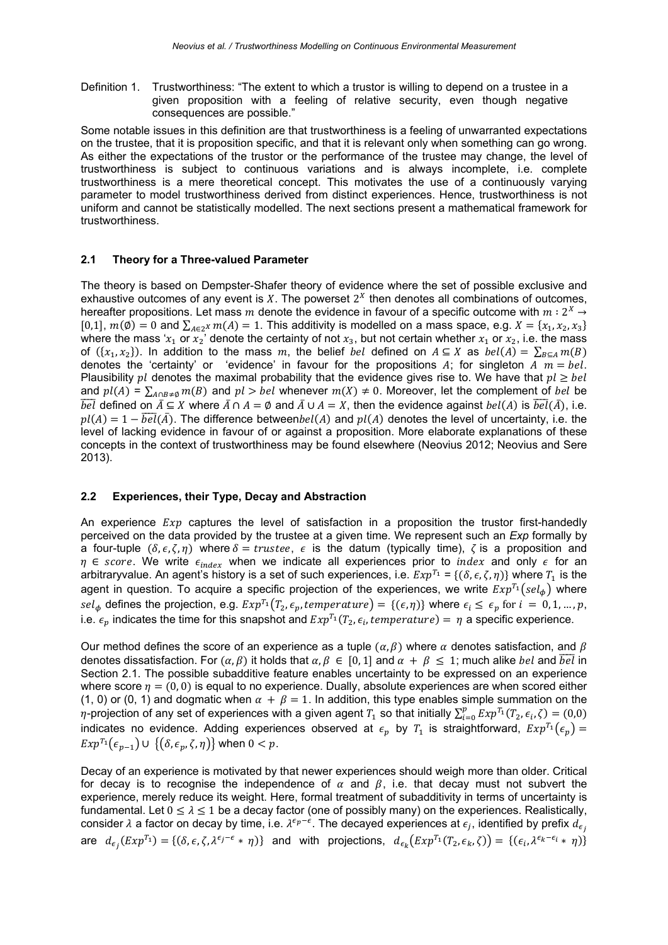Definition 1. Trustworthiness: "The extent to which a trustor is willing to depend on a trustee in a given proposition with a feeling of relative security, even though negative consequences are possible."

Some notable issues in this definition are that trustworthiness is a feeling of unwarranted expectations on the trustee, that it is proposition specific, and that it is relevant only when something can go wrong. As either the expectations of the trustor or the performance of the trustee may change, the level of trustworthiness is subject to continuous variations and is always incomplete, i.e. complete trustworthiness is a mere theoretical concept. This motivates the use of a continuously varying parameter to model trustworthiness derived from distinct experiences. Hence, trustworthiness is not uniform and cannot be statistically modelled. The next sections present a mathematical framework for trustworthiness.

### 2.1 Theory for a Three-valued Parameter

The theory is based on Dempster-Shafer theory of evidence where the set of possible exclusive and exhaustive outcomes of any event is  $X$ . The powerset  $2^X$  then denotes all combinations of outcomes, hereafter propositions. Let mass m denote the evidence in favour of a specific outcome with  $m: 2^X \rightarrow$ [0,1],  $m(\emptyset) = 0$  and  $\sum_{A \in \emptyset} m(A) = 1$ . This additivity is modelled on a mass space, e.g.  $X = \{x_1, x_2, x_3\}$ where the mass 'x<sub>1</sub> or  $x_2$ ' denote the certainty of not  $x_3$ , but not certain whether  $x_1$  or  $x_2$ , i.e. the mass of  $({x_1, x_2})$ . In addition to the mass m, the belief *bel* defined on  $A \subseteq X$  as  $bel(A) = \sum_{R \subseteq A} m(B)$ denotes the 'certainty' or 'evidence' in favour for the propositions A; for singleton  $\overline{A}$   $\overline{m}$  = bel. Plausibility  $pl$  denotes the maximal probability that the evidence gives rise to. We have that  $pl \geq bel$ and  $pl(A) = \sum_{A \cap B \neq \emptyset} m(B)$  and  $pl > bel$  whenever  $m(X) \neq 0$ . Moreover, let the complement of *bel* be  $\overline{bel}$  defined on  $\overline{A} \subseteq X$  where  $\overline{A} \cap A = \emptyset$  and  $\overline{A} \cup A = X$ , then the evidence against  $bel(A)$  is  $\overline{bel}(\overline{A})$ , i.e.  $pl(A) = 1 - \overline{bel}(\overline{A})$ . The difference between $bel(A)$  and  $pl(A)$  denotes the level of uncertainty, i.e. the level of lacking evidence in favour of or against a proposition. More elaborate explanations of these concepts in the context of trustworthiness may be found elsewhere (Neovius 2012; Neovius and Sere 2013).

#### 2.2 Experiences, their Type, Decay and Abstraction

An experience  $Exp$  captures the level of satisfaction in a proposition the trustor first-handedly perceived on the data provided by the trustee at a given time. We represent such an *Exp* formally by a four-tuple  $(\delta, \epsilon, \zeta, \eta)$  where  $\delta = true$  is the datum (typically time),  $\zeta$  is a proposition and  $\eta \in score$ . We write  $\epsilon_{index}$  when we indicate all experiences prior to *index* and only  $\epsilon$  for an arbitraryvalue. An agent's history is a set of such experiences, i.e.  $Exp^{T_1} = \{(\delta, \epsilon, \zeta, \eta)\}\$  where  $T_1$  is the agent in question. To acquire a specific projection of the experiences, we write  $Exp^{T_1}(sel_{\phi})$  where sel<sub>φ</sub> defines the projection, e.g.  $Exp^{T_1}(T_2, \epsilon_p, temperature) = \{(\epsilon, \eta)\}\$  where  $\epsilon_i \leq \epsilon_p$  for  $i = 0, 1, ..., p$ , i.e.  $\epsilon_n$  indicates the time for this snapshot and  $Exp^{T_1}(T_2, \epsilon_i, temperature) = \eta$  a specific experience.

Our method defines the score of an experience as a tuple ( $\alpha$ ,  $\beta$ ) where  $\alpha$  denotes satisfaction, and  $\beta$ denotes dissatisfaction. For  $(a, \beta)$  it holds that  $a, \beta \in [0, 1]$  and  $\alpha + \beta < 1$ ; much alike *bel* and  $\overline{bel}$  in Section 2.1. The possible subadditive feature enables uncertainty to be expressed on an experience where score  $n = (0, 0)$  is equal to no experience. Dually, absolute experiences are when scored either (1, 0) or (0, 1) and dogmatic when  $\alpha + \beta = 1$ . In addition, this type enables simple summation on the  $\eta$ -projection of any set of experiences with a given agent  $T_1$  so that initially  $\sum_{i=0}^p Exp^{T_1}(T_2,\epsilon_i,\zeta)=(0,0)$ indicates no evidence. Adding experiences observed at  $\epsilon_p$  by  $T_1$  is straightforward,  $Exp^{T_1}(\epsilon_p)$  =  $Exp^{T_1}(\epsilon_{n-1}) \cup \{(\delta, \epsilon_n, \zeta, \eta)\}\$  when  $0 < p$ .

Decay of an experience is motivated by that newer experiences should weigh more than older. Critical for decay is to recognise the independence of  $\alpha$  and  $\beta$ , i.e. that decay must not subvert the experience, merely reduce its weight. Here, formal treatment of subadditivity in terms of uncertainty is fundamental. Let  $0 \le \lambda \le 1$  be a decay factor (one of possibly many) on the experiences. Realistically, consider  $\lambda$  a factor on decay by time, i.e.  $\lambda^{\epsilon_p-\epsilon}$ . The decayed experiences at  $\epsilon_i$ , identified by prefix  $d_{\epsilon_i}$ are  $d_{\epsilon_j}(Exp^{T_1}) = \{(\delta, \epsilon, \zeta, \lambda^{\epsilon_j - \epsilon} * \eta)\}\$ and with projections,  $d_{\epsilon_k}(Exp^{T_1}(T_2, \epsilon_k, \zeta)) = \{(\epsilon_i, \lambda^{\epsilon_k - \epsilon_i} * \eta)\}\$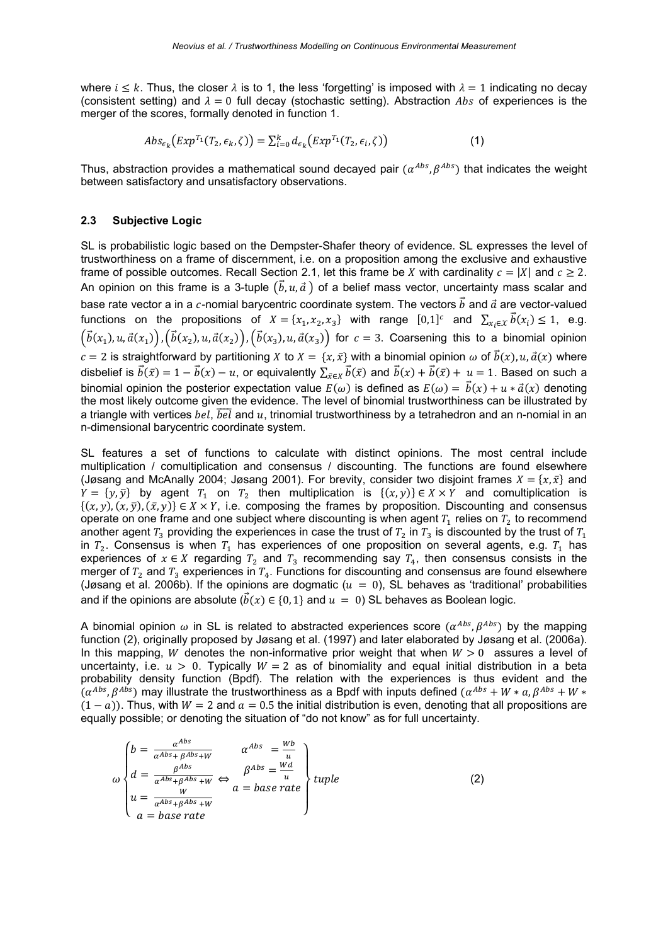where  $i \leq k$ . Thus, the closer  $\lambda$  is to 1, the less 'forgetting' is imposed with  $\lambda = 1$  indicating no decay (consistent setting) and  $\lambda = 0$  full decay (stochastic setting). Abstraction Abs of experiences is the merger of the scores, formally denoted in function 1.

$$
Abs_{\epsilon_{k}}(Exp^{T_{1}}(T_{2}, \epsilon_{k}, \zeta)) = \sum_{i=0}^{k} d_{\epsilon_{k}}(Exp^{T_{1}}(T_{2}, \epsilon_{i}, \zeta))
$$
\n(1)

Thus, abstraction provides a mathematical sound decayed pair ( $\alpha^{Abs}, \beta^{Abs}$ ) that indicates the weight between satisfactory and unsatisfactory observations.

#### 2.3 Subjective Logic

SL is probabilistic logic based on the Dempster-Shafer theory of evidence. SL expresses the level of trustworthiness on a frame of discernment, i.e. on a proposition among the exclusive and exhaustive frame of possible outcomes. Recall Section 2.1, let this frame be X with cardinality  $c = |X|$  and  $c \ge 2$ . An opinion on this frame is a 3-tuple  $(\vec{b}, u, \vec{a})$  of a belief mass vector, uncertainty mass scalar and base rate vector a in a c-nomial barycentric coordinate system. The vectors  $\vec{b}$  and  $\vec{a}$  are vector-valued functions on the propositions of  $X = \{x_1, x_2, x_3\}$  with range  $[0,1]^c$  and  $\sum_{x_i \in X} \vec{b}(x_i) \leq 1$ , e.g.  $(\vec{b}(x_1), u, \vec{a}(x_1)), (\vec{b}(x_2), u, \vec{a}(x_2)), (\vec{b}(x_3), u, \vec{a}(x_3))$  for  $c = 3$ . Coarsening this to a binomial opinion  $c = 2$  is straightforward by partitioning X to  $X = \{x, \bar{x}\}\$  with a binomial opinion  $\omega$  of  $\vec{b}(x)$ ,  $u, \vec{a}(x)$  where disbelief is  $\vec{b}(\bar{x}) = 1 - \vec{b}(x) - u$ , or equivalently  $\sum_{\bar{x} \in X} \vec{b}(\bar{x})$  and  $\vec{b}(x) + \vec{b}(\bar{x}) + u = 1$ . Based on such a binomial opinion the posterior expectation value  $E(\omega)$  is defined as  $E(\omega) = \vec{b}(x) + u * \vec{a}(x)$  denoting the most likely outcome given the evidence. The level of binomial trustworthiness can be illustrated by a triangle with vertices  $bel$ .  $\overline{bel}$  and u, trinomial trustworthiness by a tetrahedron and an n-nomial in an n-dimensional barycentric coordinate system.

SL features a set of functions to calculate with distinct opinions. The most central include multiplication / comultiplication and consensus / discounting. The functions are found elsewhere (Jøsang and McAnally 2004; Jøsang 2001). For brevity, consider two disjoint frames  $X = \{x, \bar{x}\}\$ and  $Y = \{y, \overline{y}\}\$  by agent  $T_1$  on  $T_2$  then multiplication is  $\{(x, y)\}\in X\times Y$  and comultiplication is  $\{(x, y), (x, \bar{y}), (\bar{x}, y)\}\in X\times Y$ , i.e. composing the frames by proposition. Discounting and consensus operate on one frame and one subject where discounting is when agent  $T_1$  relies on  $T_2$  to recommend another agent  $T_3$  providing the experiences in case the trust of  $T_2$  in  $T_3$  is discounted by the trust of  $T_1$ in  $T_2$ . Consensus is when  $T_1$  has experiences of one proposition on several agents, e.g.  $T_1$  has experiences of  $x \in X$  regarding  $T_2$  and  $T_3$  recommending say  $T_4$ , then consensus consists in the merger of  $T_2$  and  $T_3$  experiences in  $T_4$ . Functions for discounting and consensus are found elsewhere (Jøsang et al. 2006b). If the opinions are dogmatic ( $u = 0$ ), SL behaves as 'traditional' probabilities and if the opinions are absolute  $(\vec{b}(x) \in \{0, 1\})$  and  $u = 0$ ) SL behaves as Boolean logic.

A binomial opinion  $\omega$  in SL is related to abstracted experiences score ( $\alpha^{Abs}$ ,  $\beta^{Abs}$ ) by the mapping function (2), originally proposed by Jøsang et al. (1997) and later elaborated by Jøsang et al. (2006a). In this mapping, W denotes the non-informative prior weight that when  $W > 0$  assures a level of uncertainty, i.e.  $u > 0$ . Typically  $W = 2$  as of binomiality and equal initial distribution in a beta probability density function (Βpdf). The relation with the experiences is thus evident and the  $(\alpha^{Abs}, \beta^{Abs})$  may illustrate the trustworthiness as a Bpdf with inputs defined  $(\alpha^{Abs} + W * a, \beta^{Abs} + W *$  $(1 - a)$ ). Thus, with  $W = 2$  and  $a = 0.5$  the initial distribution is even, denoting that all propositions are equally possible; or denoting the situation of "do not know" as for full uncertainty.

$$
\omega \begin{cases}\nb = \frac{\alpha^{Abs}}{\alpha^{Abs} + \beta^{Abs} + W} & \alpha^{Abs} = \frac{Wb}{u} \\
d = \frac{\beta^{Abs}}{\alpha^{Abs} + \beta^{Abs} + W} \Leftrightarrow & \beta^{Abs} = \frac{Wd}{u} \\
u = \frac{W}{\alpha^{Abs} + \beta^{Abs} + W} & a = base \ rate \\
a = base \ rate\n\end{cases}
$$
\n(2)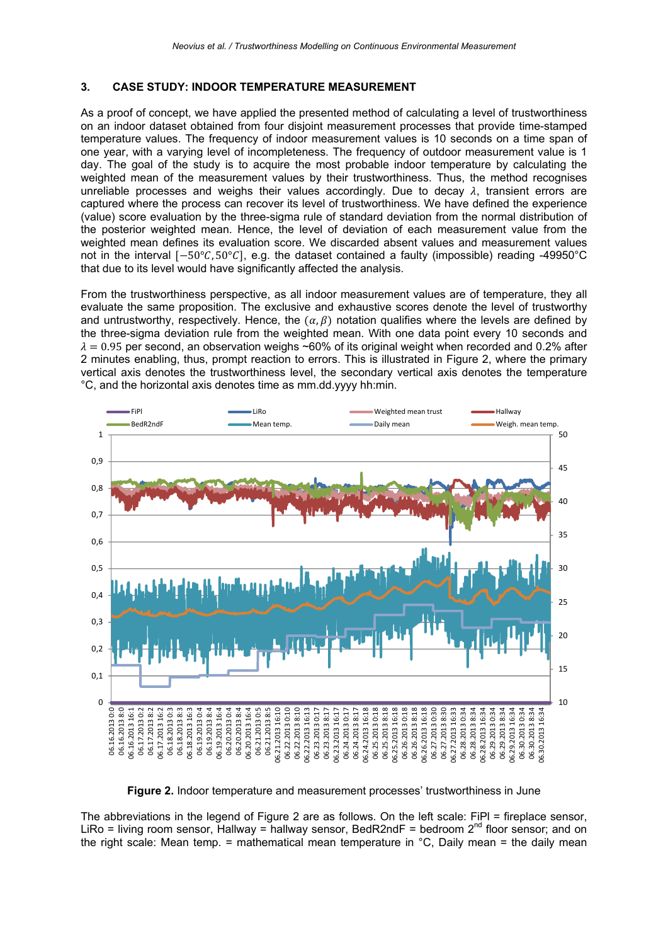#### 3. CASE STUDY: INDOOR TEMPERATURE MEASUREMENT

As a proof of concept, we have applied the presented method of calculating a level of trustworthiness on an indoor dataset obtained from four disjoint measurement processes that provide time-stamped temperature values. The frequency of indoor measurement values is 10 seconds on a time span of one year, with a varying level of incompleteness. The frequency of outdoor measurement value is 1 day. The goal of the study is to acquire the most probable indoor temperature by calculating the weighted mean of the measurement values by their trustworthiness. Thus, the method recognises unreliable processes and weighs their values accordingly. Due to decay  $\lambda$ , transient errors are captured where the process can recover its level of trustworthiness. We have defined the experience (value) score evaluation by the three-sigma rule of standard deviation from the normal distribution of the posterior weighted mean. Hence, the level of deviation of each measurement value from the weighted mean defines its evaluation score. We discarded absent values and measurement values not in the interval [-50°C, 50°C], e.g. the dataset contained a faulty (impossible) reading -49950°C that due to its level would have significantly affected the analysis.

From the trustworthiness perspective, as all indoor measurement values are of temperature, they all evaluate the same proposition. The exclusive and exhaustive scores denote the level of trustworthy and untrustworthy, respectively. Hence, the  $(\alpha, \beta)$  notation qualifies where the levels are defined by the three-sigma deviation rule from the weighted mean. With one data point every 10 seconds and  $\lambda = 0.95$  per second, an observation weighs ~60% of its original weight when recorded and 0.2% after 2 minutes enabling, thus, prompt reaction to errors. This is illustrated in Figure 2, where the primary vertical axis denotes the trustworthiness level, the secondary vertical axis denotes the temperature °C, and the horizontal axis denotes time as mm.dd.yyyy hh:min.



Figure 2. Indoor temperature and measurement processes' trustworthiness in June

The abbreviations in the legend of Figure 2 are as follows. On the left scale: FiPl = fireplace sensor, LiRo = living room sensor, Hallway = hallway sensor, BedR2ndF = bedroom  $2^{nd}$  floor sensor; and on the right scale: Mean temp. = mathematical mean temperature in  $\degree$ C, Daily mean = the daily mean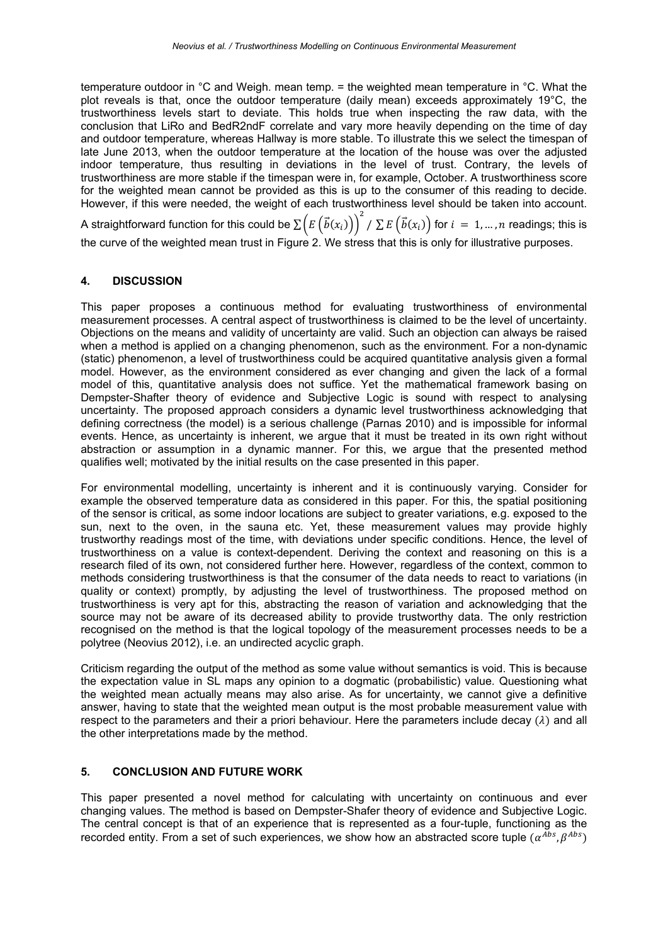temperature outdoor in °C and Weigh. mean temp. = the weighted mean temperature in °C. What the plot reveals is that, once the outdoor temperature (daily mean) exceeds approximately 19°C, the trustworthiness levels start to deviate. This holds true when inspecting the raw data, with the conclusion that LiRo and BedR2ndF correlate and vary more heavily depending on the time of day and outdoor temperature, whereas Hallway is more stable. To illustrate this we select the timespan of late June 2013, when the outdoor temperature at the location of the house was over the adjusted indoor temperature, thus resulting in deviations in the level of trust. Contrary, the levels of trustworthiness are more stable if the timespan were in, for example, October. A trustworthiness score for the weighted mean cannot be provided as this is up to the consumer of this reading to decide. However, if this were needed, the weight of each trustworthiness level should be taken into account.

A straightforward function for this could be  $\sum \Bigl(E\left(\vec{b}(x_i)\right)\Bigr)^2$  /  $\sum E\left(\vec{b}(x_i)\right)$  for  $i~=~1,...,n$  readings; this is the curve of the weighted mean trust in Figure 2. We stress that this is only for illustrative purposes.

### 4. DISCUSSION

This paper proposes a continuous method for evaluating trustworthiness of environmental measurement processes. A central aspect of trustworthiness is claimed to be the level of uncertainty. Objections on the means and validity of uncertainty are valid. Such an objection can always be raised when a method is applied on a changing phenomenon, such as the environment. For a non-dynamic (static) phenomenon, a level of trustworthiness could be acquired quantitative analysis given a formal model. However, as the environment considered as ever changing and given the lack of a formal model of this, quantitative analysis does not suffice. Yet the mathematical framework basing on Dempster-Shafter theory of evidence and Subjective Logic is sound with respect to analysing uncertainty. The proposed approach considers a dynamic level trustworthiness acknowledging that defining correctness (the model) is a serious challenge (Parnas 2010) and is impossible for informal events. Hence, as uncertainty is inherent, we argue that it must be treated in its own right without abstraction or assumption in a dynamic manner. For this, we argue that the presented method qualifies well; motivated by the initial results on the case presented in this paper.

For environmental modelling, uncertainty is inherent and it is continuously varying. Consider for example the observed temperature data as considered in this paper. For this, the spatial positioning of the sensor is critical, as some indoor locations are subject to greater variations, e.g. exposed to the sun, next to the oven, in the sauna etc. Yet, these measurement values may provide highly trustworthy readings most of the time, with deviations under specific conditions. Hence, the level of trustworthiness on a value is context-dependent. Deriving the context and reasoning on this is a research filed of its own, not considered further here. However, regardless of the context, common to methods considering trustworthiness is that the consumer of the data needs to react to variations (in quality or context) promptly, by adjusting the level of trustworthiness. The proposed method on trustworthiness is very apt for this, abstracting the reason of variation and acknowledging that the source may not be aware of its decreased ability to provide trustworthy data. The only restriction recognised on the method is that the logical topology of the measurement processes needs to be a polytree (Neovius 2012), i.e. an undirected acyclic graph.

Criticism regarding the output of the method as some value without semantics is void. This is because the expectation value in SL maps any opinion to a dogmatic (probabilistic) value. Questioning what the weighted mean actually means may also arise. As for uncertainty, we cannot give a definitive answer, having to state that the weighted mean output is the most probable measurement value with respect to the parameters and their a priori behaviour. Here the parameters include decay  $(\lambda)$  and all the other interpretations made by the method.

### 5. CONCLUSION AND FUTURE WORK

This paper presented a novel method for calculating with uncertainty on continuous and ever changing values. The method is based on Dempster-Shafer theory of evidence and Subjective Logic. The central concept is that of an experience that is represented as a four-tuple, functioning as the recorded entity. From a set of such experiences, we show how an abstracted score tuple ( $\alpha^{Abs}$ ,  $\beta^{Abs}$ )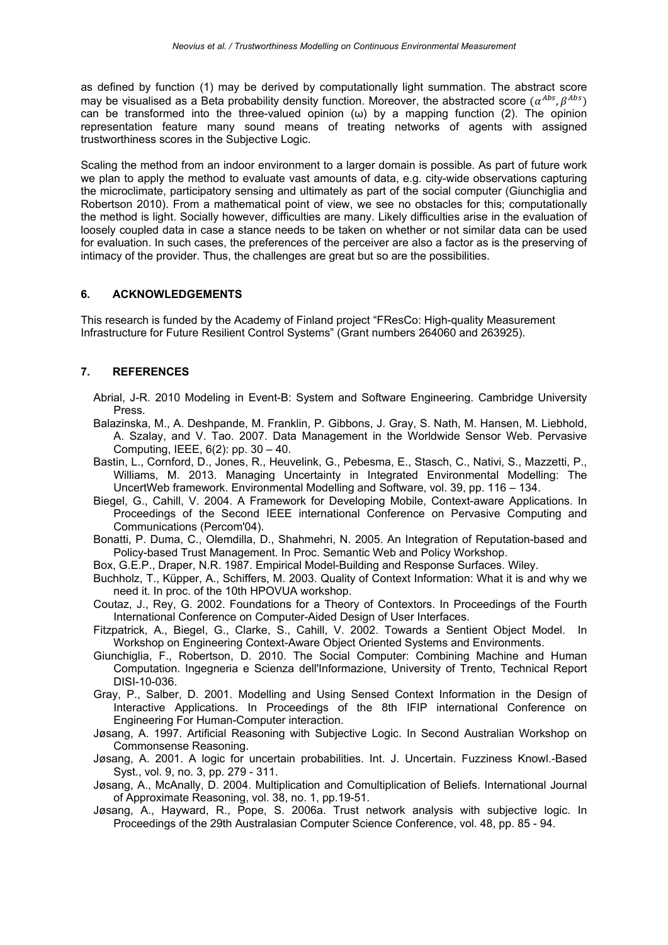as defined by function (1) may be derived by computationally light summation. The abstract score may be visualised as a Beta probability density function. Moreover, the abstracted score  $(\alpha^{Abs}, \beta^{Abs})$ can be transformed into the three-valued opinion  $(\omega)$  by a mapping function (2). The opinion representation feature many sound means of treating networks of agents with assigned trustworthiness scores in the Subjective Logic.

Scaling the method from an indoor environment to a larger domain is possible. As part of future work we plan to apply the method to evaluate vast amounts of data, e.g. city-wide observations capturing the microclimate, participatory sensing and ultimately as part of the social computer (Giunchiglia and Robertson 2010). From a mathematical point of view, we see no obstacles for this; computationally the method is light. Socially however, difficulties are many. Likely difficulties arise in the evaluation of loosely coupled data in case a stance needs to be taken on whether or not similar data can be used for evaluation. In such cases, the preferences of the perceiver are also a factor as is the preserving of intimacy of the provider. Thus, the challenges are great but so are the possibilities.

### 6. ACKNOWLEDGEMENTS

This research is funded by the Academy of Finland project "FResCo: High-quality Measurement Infrastructure for Future Resilient Control Systems" (Grant numbers 264060 and 263925).

## 7. REFERENCES

- Abrial, J-R. 2010 Modeling in Event-B: System and Software Engineering. Cambridge University Press.
- Balazinska, M., A. Deshpande, M. Franklin, P. Gibbons, J. Gray, S. Nath, M. Hansen, M. Liebhold, A. Szalay, and V. Tao. 2007. Data Management in the Worldwide Sensor Web. Pervasive Computing, IEEE, 6(2): pp. 30 – 40.
- Bastin, L., Cornford, D., Jones, R., Heuvelink, G., Pebesma, E., Stasch, C., Nativi, S., Mazzetti, P., Williams, M. 2013. Managing Uncertainty in Integrated Environmental Modelling: The UncertWeb framework. Environmental Modelling and Software, vol. 39, pp. 116 – 134.
- Biegel, G., Cahill, V. 2004. A Framework for Developing Mobile, Context-aware Applications. In Proceedings of the Second IEEE international Conference on Pervasive Computing and Communications (Percom'04).
- Bonatti, P. Duma, C., Olemdilla, D., Shahmehri, N. 2005. An Integration of Reputation-based and Policy-based Trust Management. In Proc. Semantic Web and Policy Workshop.
- Box, G.E.P., Draper, N.R. 1987. Empirical Model-Building and Response Surfaces. Wiley.
- Buchholz, T., Küpper, A., Schiffers, M. 2003. Quality of Context Information: What it is and why we need it. In proc. of the 10th HPOVUA workshop.
- Coutaz, J., Rey, G. 2002. Foundations for a Theory of Contextors. In Proceedings of the Fourth International Conference on Computer-Aided Design of User Interfaces.
- Fitzpatrick, A., Biegel, G., Clarke, S., Cahill, V. 2002. Towards a Sentient Object Model. In Workshop on Engineering Context-Aware Object Oriented Systems and Environments.
- Giunchiglia, F., Robertson, D. 2010. The Social Computer: Combining Machine and Human Computation. Ingegneria e Scienza dell'Informazione, University of Trento, Technical Report DISI-10-036.
- Gray, P., Salber, D. 2001. Modelling and Using Sensed Context Information in the Design of Interactive Applications. In Proceedings of the 8th IFIP international Conference on Engineering For Human-Computer interaction.
- Jøsang, A. 1997. Artificial Reasoning with Subjective Logic. In Second Australian Workshop on Commonsense Reasoning.
- Jøsang, A. 2001. A logic for uncertain probabilities. Int. J. Uncertain. Fuzziness Knowl.-Based Syst., vol. 9, no. 3, pp. 279 - 311.
- Jøsang, A., McAnally, D. 2004. Multiplication and Comultiplication of Beliefs. International Journal of Approximate Reasoning, vol. 38, no. 1, pp.19-51.
- Jøsang, A., Hayward, R., Pope, S. 2006a. Trust network analysis with subjective logic. In Proceedings of the 29th Australasian Computer Science Conference, vol. 48, pp. 85 - 94.